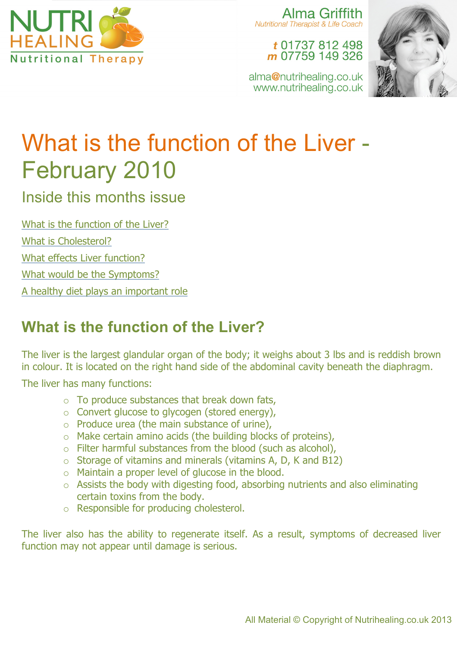

Alma Griffith **Nutritional Therapist & Life Coach** 

t 01737 812 498 m 07759 149 326

alma@nutrihealing.co.uk www.nutrihealing.co.uk



# What is the function of the Liver - February 2010

Inside this months issue

What is the function of the Liver?

What is Cholesterol?

What effects Liver function?

What would be the Symptoms?

A healthy diet plays an important role

# **What is the function of the Liver?**

The liver is the largest glandular organ of the body; it weighs about 3 lbs and is reddish brown in colour. It is located on the right hand side of the abdominal cavity beneath the diaphragm.

The liver has many functions:

- $\circ$  To produce substances that break down fats,
- o Convert glucose to glycogen (stored energy),
- $\circ$  Produce urea (the main substance of urine),
- o Make certain amino acids (the building blocks of proteins),
- o Filter harmful substances from the blood (such as alcohol),
- $\circ$  Storage of vitamins and minerals (vitamins A, D, K and B12)
- o Maintain a proper level of glucose in the blood.
- o Assists the body with digesting food, absorbing nutrients and also eliminating certain toxins from the body.
- o Responsible for producing cholesterol.

The liver also has the ability to regenerate itself. As a result, symptoms of decreased liver function may not appear until damage is serious.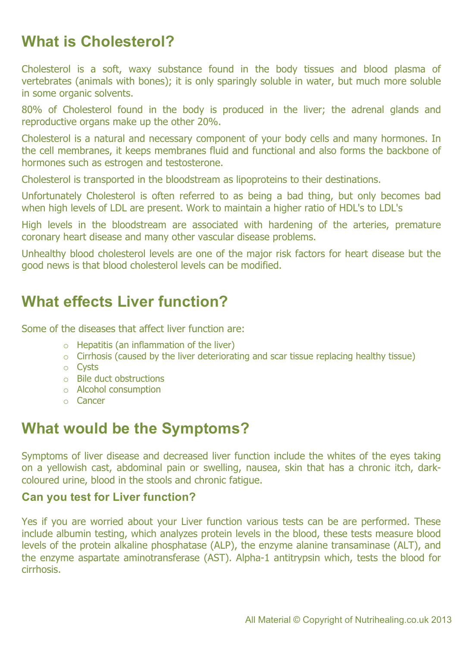## **What is Cholesterol?**

Cholesterol is a soft, waxy substance found in the body tissues and blood plasma of vertebrates (animals with bones); it is only sparingly soluble in water, but much more soluble in some organic solvents.

80% of Cholesterol found in the body is produced in the liver; the adrenal glands and reproductive organs make up the other 20%.

Cholesterol is a natural and necessary component of your body cells and many hormones. In the cell membranes, it keeps membranes fluid and functional and also forms the backbone of hormones such as estrogen and testosterone.

Cholesterol is transported in the bloodstream as lipoproteins to their destinations.

Unfortunately Cholesterol is often referred to as being a bad thing, but only becomes bad when high levels of LDL are present. Work to maintain a higher ratio of HDL's to LDL's

High levels in the bloodstream are associated with hardening of the arteries, premature coronary heart disease and many other vascular disease problems.

Unhealthy blood cholesterol levels are one of the major risk factors for heart disease but the good news is that blood cholesterol levels can be modified.

## **What effects Liver function?**

Some of the diseases that affect liver function are:

- $\circ$  Hepatitis (an inflammation of the liver)
- o Cirrhosis (caused by the liver deteriorating and scar tissue replacing healthy tissue)
- o Cysts
- o Bile duct obstructions
- o Alcohol consumption
- o Cancer

## **What would be the Symptoms?**

Symptoms of liver disease and decreased liver function include the whites of the eyes taking on a yellowish cast, abdominal pain or swelling, nausea, skin that has a chronic itch, darkcoloured urine, blood in the stools and chronic fatigue.

#### **Can you test for Liver function?**

Yes if you are worried about your Liver function various tests can be are performed. These include albumin testing, which analyzes protein levels in the blood, these tests measure blood levels of the protein alkaline phosphatase (ALP), the enzyme alanine transaminase (ALT), and the enzyme aspartate aminotransferase (AST). Alpha-1 antitrypsin which, tests the blood for cirrhosis.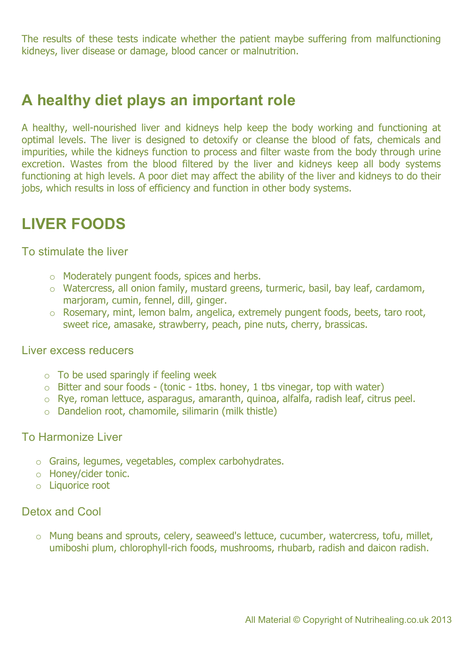The results of these tests indicate whether the patient maybe suffering from malfunctioning kidneys, liver disease or damage, blood cancer or malnutrition.

## **A healthy diet plays an important role**

A healthy, well-nourished liver and kidneys help keep the body working and functioning at optimal levels. The liver is designed to detoxify or cleanse the blood of fats, chemicals and impurities, while the kidneys function to process and filter waste from the body through urine excretion. Wastes from the blood filtered by the liver and kidneys keep all body systems functioning at high levels. A poor diet may affect the ability of the liver and kidneys to do their jobs, which results in loss of efficiency and function in other body systems.

### **LIVER FOODS**

To stimulate the liver

- o Moderately pungent foods, spices and herbs.
- o Watercress, all onion family, mustard greens, turmeric, basil, bay leaf, cardamom, marjoram, cumin, fennel, dill, ginger.
- o Rosemary, mint, lemon balm, angelica, extremely pungent foods, beets, taro root, sweet rice, amasake, strawberry, peach, pine nuts, cherry, brassicas.

#### Liver excess reducers

- $\circ$  To be used sparingly if feeling week
- $\circ$  Bitter and sour foods (tonic 1tbs. honey, 1 tbs vinegar, top with water)
- o Rye, roman lettuce, asparagus, amaranth, quinoa, alfalfa, radish leaf, citrus peel.
- o Dandelion root, chamomile, silimarin (milk thistle)

#### To Harmonize Liver

- o Grains, legumes, vegetables, complex carbohydrates.
- o Honey/cider tonic.
- o Liquorice root

#### Detox and Cool

o Mung beans and sprouts, celery, seaweed's lettuce, cucumber, watercress, tofu, millet, umiboshi plum, chlorophyll-rich foods, mushrooms, rhubarb, radish and daicon radish.